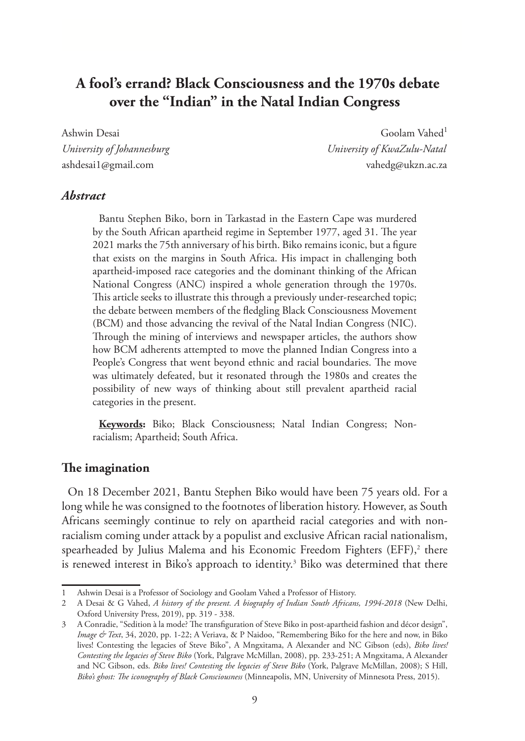# **A fool's errand? Black Consciousness and the 1970s debate over the "Indian" in the Natal Indian Congress**

Ashwin Desai Goolam Vahed<sup>1</sup> *University of Johannesburg University of KwaZulu-Natal* ashdesai1@gmail.com vahedg@ukzn.ac.za

### *Abstract*

Bantu Stephen Biko, born in Tarkastad in the Eastern Cape was murdered by the South African apartheid regime in September 1977, aged 31. The year 2021 marks the 75th anniversary of his birth. Biko remains iconic, but a figure that exists on the margins in South Africa. His impact in challenging both apartheid-imposed race categories and the dominant thinking of the African National Congress (ANC) inspired a whole generation through the 1970s. This article seeks to illustrate this through a previously under-researched topic; the debate between members of the fledgling Black Consciousness Movement (BCM) and those advancing the revival of the Natal Indian Congress (NIC). Through the mining of interviews and newspaper articles, the authors show how BCM adherents attempted to move the planned Indian Congress into a People's Congress that went beyond ethnic and racial boundaries. The move was ultimately defeated, but it resonated through the 1980s and creates the possibility of new ways of thinking about still prevalent apartheid racial categories in the present.

**Keywords:** Biko; Black Consciousness; Natal Indian Congress; Nonracialism; Apartheid; South Africa.

#### **The imagination**

On 18 December 2021, Bantu Stephen Biko would have been 75 years old. For a long while he was consigned to the footnotes of liberation history. However, as South Africans seemingly continue to rely on apartheid racial categories and with nonracialism coming under attack by a populist and exclusive African racial nationalism, spearheaded by Julius Malema and his Economic Freedom Fighters (EFF),<sup>2</sup> there is renewed interest in Biko's approach to identity.<sup>3</sup> Biko was determined that there

<sup>1</sup> Ashwin Desai is a Professor of Sociology and Goolam Vahed a Professor of History.

<sup>2</sup> A Desai & G Vahed, *A history of the present. A biography of Indian South Africans, 1994-2018* (New Delhi, Oxford University Press, 2019), pp. 319 - 338.

<sup>3</sup> A Conradie, "Sedition à la mode? The transfiguration of Steve Biko in post-apartheid fashion and décor design", *Image & Text*, 34, 2020, pp. 1-22; A Veriava, & P Naidoo, "Remembering Biko for the here and now, in Biko lives! Contesting the legacies of Steve Biko", A Mngxitama, A Alexander and NC Gibson (eds), *Biko lives! Contesting the legacies of Steve Biko* (York, Palgrave McMillan, 2008), pp. 233-251; A Mngxitama, A Alexander and NC Gibson, eds. *Biko lives! Contesting the legacies of Steve Biko* (York, Palgrave McMillan, 2008); S Hill, *Biko's ghost: The iconography of Black Consciousness* (Minneapolis, MN, University of Minnesota Press, 2015).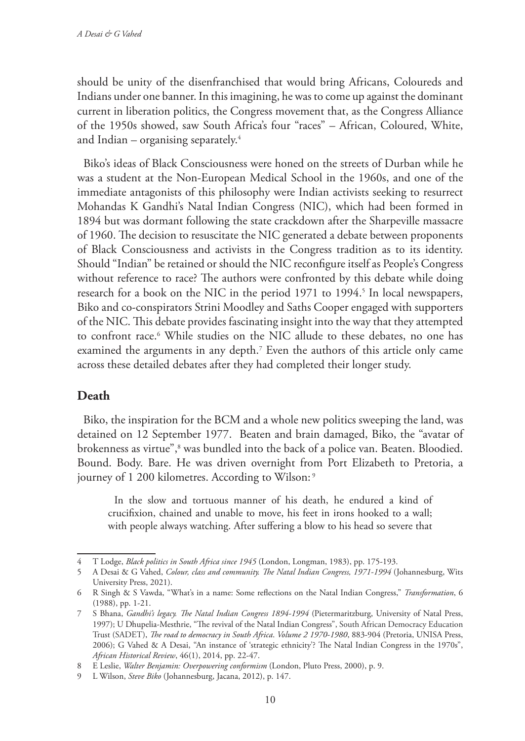should be unity of the disenfranchised that would bring Africans, Coloureds and Indians under one banner. In this imagining, he was to come up against the dominant current in liberation politics, the Congress movement that, as the Congress Alliance of the 1950s showed, saw South Africa's four "races" – African, Coloured, White, and Indian  $-$  organising separately.<sup>4</sup>

Biko's ideas of Black Consciousness were honed on the streets of Durban while he was a student at the Non-European Medical School in the 1960s, and one of the immediate antagonists of this philosophy were Indian activists seeking to resurrect Mohandas K Gandhi's Natal Indian Congress (NIC), which had been formed in 1894 but was dormant following the state crackdown after the Sharpeville massacre of 1960. The decision to resuscitate the NIC generated a debate between proponents of Black Consciousness and activists in the Congress tradition as to its identity. Should "Indian" be retained or should the NIC reconfigure itself as People's Congress without reference to race? The authors were confronted by this debate while doing research for a book on the NIC in the period 1971 to 1994.<sup>5</sup> In local newspapers, Biko and co-conspirators Strini Moodley and Saths Cooper engaged with supporters of the NIC. This debate provides fascinating insight into the way that they attempted to confront race.6 While studies on the NIC allude to these debates, no one has examined the arguments in any depth.7 Even the authors of this article only came across these detailed debates after they had completed their longer study.

# **Death**

Biko, the inspiration for the BCM and a whole new politics sweeping the land, was detained on 12 September 1977. Beaten and brain damaged, Biko, the "avatar of brokenness as virtue",<sup>s</sup> was bundled into the back of a police van. Beaten. Bloodied. Bound. Body. Bare. He was driven overnight from Port Elizabeth to Pretoria, a journey of 1 200 kilometres. According to Wilson: 9

In the slow and tortuous manner of his death, he endured a kind of crucifixion, chained and unable to move, his feet in irons hooked to a wall; with people always watching. After suffering a blow to his head so severe that

<sup>4</sup> T Lodge, *Black politics in South Africa since 1945* (London, Longman, 1983), pp. 175-193.

<sup>5</sup> A Desai & G Vahed, *Colour, class and community. The Natal Indian Congress, 1971-1994* (Johannesburg, Wits University Press, 2021).

<sup>6</sup> R Singh & S Vawda, "What's in a name: Some reflections on the Natal Indian Congress," *Transformation*, 6 (1988), pp. 1-21.

<sup>7</sup> S Bhana, *Gandhi's legacy. The Natal Indian Congress 1894-1994* (Pietermaritzburg, University of Natal Press, 1997); U Dhupelia-Mesthrie, "The revival of the Natal Indian Congress", South African Democracy Education Trust (SADET), *The road to democracy in South Africa*. *Volume 2 1970-1980*, 883-904 (Pretoria, UNISA Press, 2006); G Vahed & A Desai, "An instance of 'strategic ethnicity'? The Natal Indian Congress in the 1970s", *African Historical Review*, 46(1), 2014, pp. 22-47.

<sup>8</sup> E Leslie, *Walter Benjamin: Overpowering conformism* (London, Pluto Press, 2000), p. 9.

<sup>9</sup> L Wilson, *Steve Biko* (Johannesburg, Jacana, 2012), p. 147.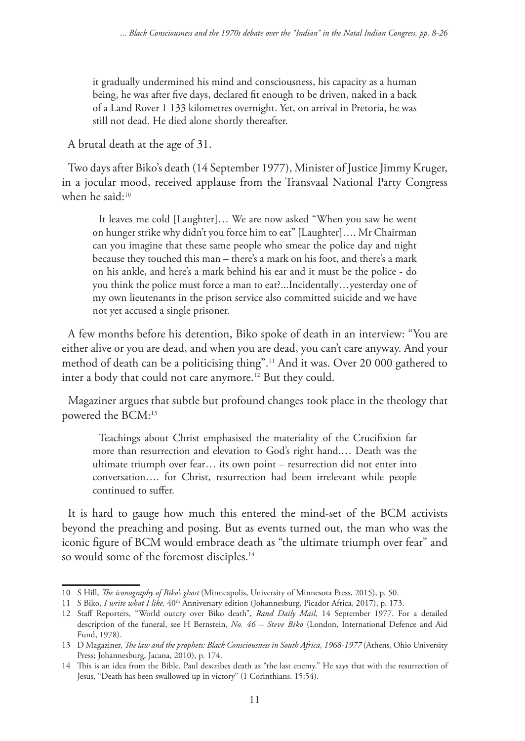it gradually undermined his mind and consciousness, his capacity as a human being, he was after five days, declared fit enough to be driven, naked in a back of a Land Rover 1 133 kilometres overnight. Yet, on arrival in Pretoria, he was still not dead. He died alone shortly thereafter.

A brutal death at the age of 31.

Two days after Biko's death (14 September 1977), Minister of Justice Jimmy Kruger, in a jocular mood, received applause from the Transvaal National Party Congress when he said:<sup>10</sup>

It leaves me cold [Laughter]… We are now asked "When you saw he went on hunger strike why didn't you force him to eat" [Laughter]…. Mr Chairman can you imagine that these same people who smear the police day and night because they touched this man – there's a mark on his foot, and there's a mark on his ankle, and here's a mark behind his ear and it must be the police - do you think the police must force a man to eat?...Incidentally…yesterday one of my own lieutenants in the prison service also committed suicide and we have not yet accused a single prisoner.

A few months before his detention, Biko spoke of death in an interview: "You are either alive or you are dead, and when you are dead, you can't care anyway. And your method of death can be a politicising thing".11 And it was. Over 20 000 gathered to inter a body that could not care anymore.12 But they could.

Magaziner argues that subtle but profound changes took place in the theology that powered the BCM:13

Teachings about Christ emphasised the materiality of the Crucifixion far more than resurrection and elevation to God's right hand.… Death was the ultimate triumph over fear… its own point – resurrection did not enter into conversation…. for Christ, resurrection had been irrelevant while people continued to suffer.

It is hard to gauge how much this entered the mind-set of the BCM activists beyond the preaching and posing. But as events turned out, the man who was the iconic figure of BCM would embrace death as "the ultimate triumph over fear" and so would some of the foremost disciples.<sup>14</sup>

<sup>10</sup> S Hill, *The iconography of Biko's ghost* (Minneapolis, University of Minnesota Press, 2015), p. 50.

<sup>11</sup> S Biko, *I write what I like.* 40<sup>th</sup> Anniversary edition (Johannesburg, Picador Africa, 2017), p. 173.

<sup>12</sup> Staff Reporters, "World outcry over Biko death", *Rand Daily Mail*, 14 September 1977. For a detailed description of the funeral, see H Bernstein, *No. 46 – Steve Biko* (London, International Defence and Aid Fund, 1978).

<sup>13</sup> D Magaziner, *The law and the prophets: Black Consciousness in South Africa, 1968-1977* (Athens, Ohio University Press; Johannesburg, Jacana, 2010), p. 174.

<sup>14</sup> This is an idea from the Bible. Paul describes death as "the last enemy." He says that with the resurrection of Jesus, "Death has been swallowed up in victory" (1 Corinthians. 15:54).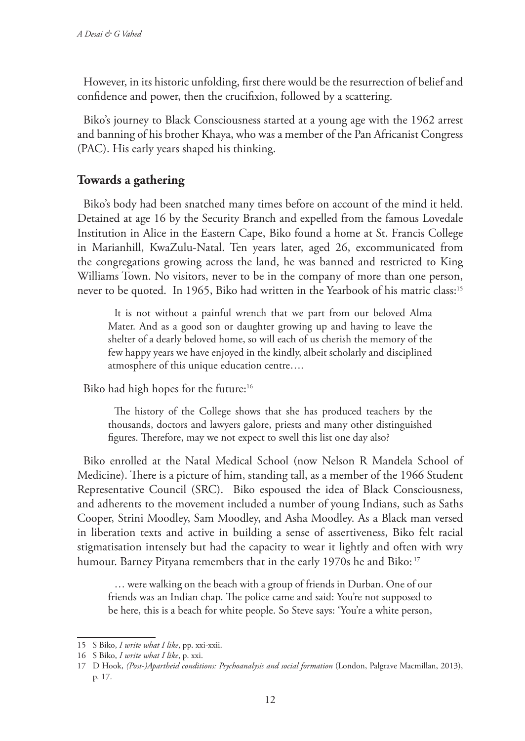However, in its historic unfolding, first there would be the resurrection of belief and confidence and power, then the crucifixion, followed by a scattering.

Biko's journey to Black Consciousness started at a young age with the 1962 arrest and banning of his brother Khaya, who was a member of the Pan Africanist Congress (PAC). His early years shaped his thinking.

# **Towards a gathering**

Biko's body had been snatched many times before on account of the mind it held. Detained at age 16 by the Security Branch and expelled from the famous Lovedale Institution in Alice in the Eastern Cape, Biko found a home at St. Francis College in Marianhill, KwaZulu-Natal. Ten years later, aged 26, excommunicated from the congregations growing across the land, he was banned and restricted to King Williams Town. No visitors, never to be in the company of more than one person, never to be quoted. In 1965, Biko had written in the Yearbook of his matric class:15

It is not without a painful wrench that we part from our beloved Alma Mater. And as a good son or daughter growing up and having to leave the shelter of a dearly beloved home, so will each of us cherish the memory of the few happy years we have enjoyed in the kindly, albeit scholarly and disciplined atmosphere of this unique education centre….

Biko had high hopes for the future:<sup>16</sup>

The history of the College shows that she has produced teachers by the thousands, doctors and lawyers galore, priests and many other distinguished figures. Therefore, may we not expect to swell this list one day also?

Biko enrolled at the Natal Medical School (now Nelson R Mandela School of Medicine). There is a picture of him, standing tall, as a member of the 1966 Student Representative Council (SRC). Biko espoused the idea of Black Consciousness, and adherents to the movement included a number of young Indians, such as Saths Cooper, Strini Moodley, Sam Moodley, and Asha Moodley. As a Black man versed in liberation texts and active in building a sense of assertiveness, Biko felt racial stigmatisation intensely but had the capacity to wear it lightly and often with wry humour. Barney Pityana remembers that in the early 1970s he and Biko: 17

… were walking on the beach with a group of friends in Durban. One of our friends was an Indian chap. The police came and said: You're not supposed to be here, this is a beach for white people. So Steve says: 'You're a white person,

<sup>15</sup> S Biko, *I write what I like*, pp. xxi-xxii.

<sup>16</sup> S Biko, *I write what I like*, p. xxi.

<sup>17</sup> D Hook, *(Post-)Apartheid conditions: Psychoanalysis and social formation* (London, Palgrave Macmillan, 2013), p. 17.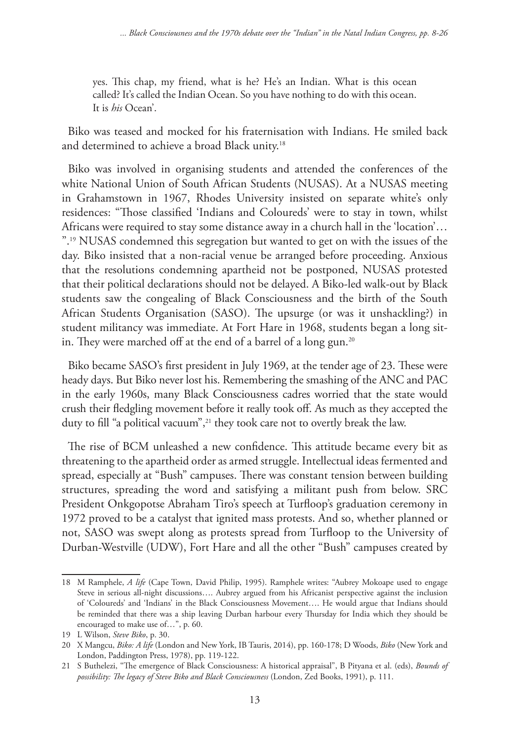yes. This chap, my friend, what is he? He's an Indian. What is this ocean called? It's called the Indian Ocean. So you have nothing to do with this ocean. It is *his* Ocean'.

Biko was teased and mocked for his fraternisation with Indians. He smiled back and determined to achieve a broad Black unity.18

Biko was involved in organising students and attended the conferences of the white National Union of South African Students (NUSAS). At a NUSAS meeting in Grahamstown in 1967, Rhodes University insisted on separate white's only residences: "Those classified 'Indians and Coloureds' were to stay in town, whilst Africans were required to stay some distance away in a church hall in the 'location'… ".19 NUSAS condemned this segregation but wanted to get on with the issues of the day. Biko insisted that a non-racial venue be arranged before proceeding. Anxious that the resolutions condemning apartheid not be postponed, NUSAS protested that their political declarations should not be delayed. A Biko-led walk-out by Black students saw the congealing of Black Consciousness and the birth of the South African Students Organisation (SASO). The upsurge (or was it unshackling?) in student militancy was immediate. At Fort Hare in 1968, students began a long sitin. They were marched off at the end of a barrel of a long gun.<sup>20</sup>

Biko became SASO's first president in July 1969, at the tender age of 23. These were heady days. But Biko never lost his. Remembering the smashing of the ANC and PAC in the early 1960s, many Black Consciousness cadres worried that the state would crush their fledgling movement before it really took off. As much as they accepted the duty to fill "a political vacuum",<sup>21</sup> they took care not to overtly break the law.

The rise of BCM unleashed a new confidence. This attitude became every bit as threatening to the apartheid order as armed struggle. Intellectual ideas fermented and spread, especially at "Bush" campuses. There was constant tension between building structures, spreading the word and satisfying a militant push from below. SRC President Onkgopotse Abraham Tiro's speech at Turfloop's graduation ceremony in 1972 proved to be a catalyst that ignited mass protests. And so, whether planned or not, SASO was swept along as protests spread from Turfloop to the University of Durban-Westville (UDW), Fort Hare and all the other "Bush" campuses created by

<sup>18</sup> M Ramphele, *A life* (Cape Town, David Philip, 1995). Ramphele writes: "Aubrey Mokoape used to engage Steve in serious all-night discussions…. Aubrey argued from his Africanist perspective against the inclusion of 'Coloureds' and 'Indians' in the Black Consciousness Movement…. He would argue that Indians should be reminded that there was a ship leaving Durban harbour every Thursday for India which they should be encouraged to make use of…", p. 60.

<sup>19</sup> L Wilson, *Steve Biko*, p. 30.

<sup>20</sup> X Mangcu, *Biko: A life* (London and New York, IB Tauris, 2014), pp. 160-178; D Woods, *Biko* (New York and London, Paddington Press, 1978), pp. 119-122.

<sup>21</sup> S Buthelezi, "The emergence of Black Consciousness: A historical appraisal", B Pityana et al. (eds), *Bounds of possibility: The legacy of Steve Biko and Black Consciousness* (London, Zed Books, 1991), p. 111.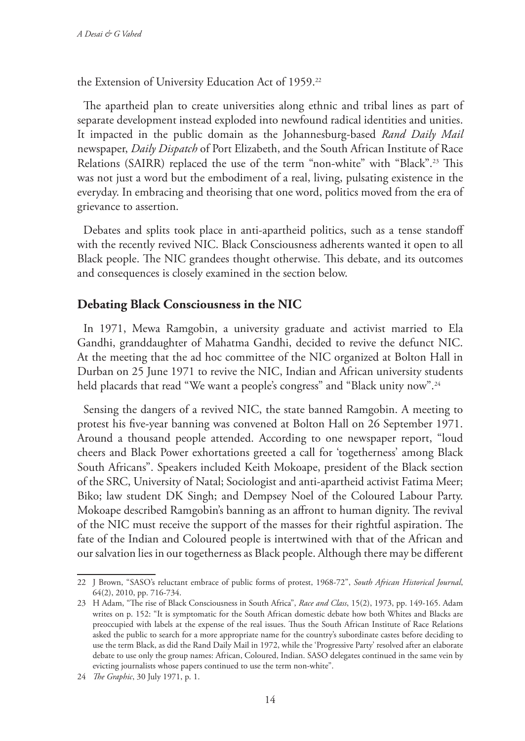the Extension of University Education Act of 1959.<sup>22</sup>

The apartheid plan to create universities along ethnic and tribal lines as part of separate development instead exploded into newfound radical identities and unities. It impacted in the public domain as the Johannesburg-based *Rand Daily Mail* newspaper, *Daily Dispatch* of Port Elizabeth, and the South African Institute of Race Relations (SAIRR) replaced the use of the term "non-white" with "Black".23 This was not just a word but the embodiment of a real, living, pulsating existence in the everyday. In embracing and theorising that one word, politics moved from the era of grievance to assertion.

Debates and splits took place in anti-apartheid politics, such as a tense standoff with the recently revived NIC. Black Consciousness adherents wanted it open to all Black people. The NIC grandees thought otherwise. This debate, and its outcomes and consequences is closely examined in the section below.

# **Debating Black Consciousness in the NIC**

In 1971, Mewa Ramgobin, a university graduate and activist married to Ela Gandhi, granddaughter of Mahatma Gandhi, decided to revive the defunct NIC. At the meeting that the ad hoc committee of the NIC organized at Bolton Hall in Durban on 25 June 1971 to revive the NIC, Indian and African university students held placards that read "We want a people's congress" and "Black unity now".<sup>24</sup>

Sensing the dangers of a revived NIC, the state banned Ramgobin. A meeting to protest his five-year banning was convened at Bolton Hall on 26 September 1971. Around a thousand people attended. According to one newspaper report, "loud cheers and Black Power exhortations greeted a call for 'togetherness' among Black South Africans". Speakers included Keith Mokoape, president of the Black section of the SRC, University of Natal; Sociologist and anti-apartheid activist Fatima Meer; Biko; law student DK Singh; and Dempsey Noel of the Coloured Labour Party. Mokoape described Ramgobin's banning as an affront to human dignity. The revival of the NIC must receive the support of the masses for their rightful aspiration. The fate of the Indian and Coloured people is intertwined with that of the African and our salvation lies in our togetherness as Black people. Although there may be different

<sup>22</sup> J Brown, "SASO's reluctant embrace of public forms of protest, 1968-72", *South African Historical Journal*, 64(2), 2010, pp. 716-734.

<sup>23</sup> H Adam, "The rise of Black Consciousness in South Africa", *Race and Class*, 15(2), 1973, pp. 149-165. Adam writes on p. 152: "It is symptomatic for the South African domestic debate how both Whites and Blacks are preoccupied with labels at the expense of the real issues. Thus the South African Institute of Race Relations asked the public to search for a more appropriate name for the country's subordinate castes before deciding to use the term Black, as did the Rand Daily Mail in 1972, while the 'Progressive Party' resolved after an elaborate debate to use only the group names: African, Coloured, Indian. SASO delegates continued in the same vein by evicting journalists whose papers continued to use the term non-white".

<sup>24</sup> *The Graphic*, 30 July 1971, p. 1.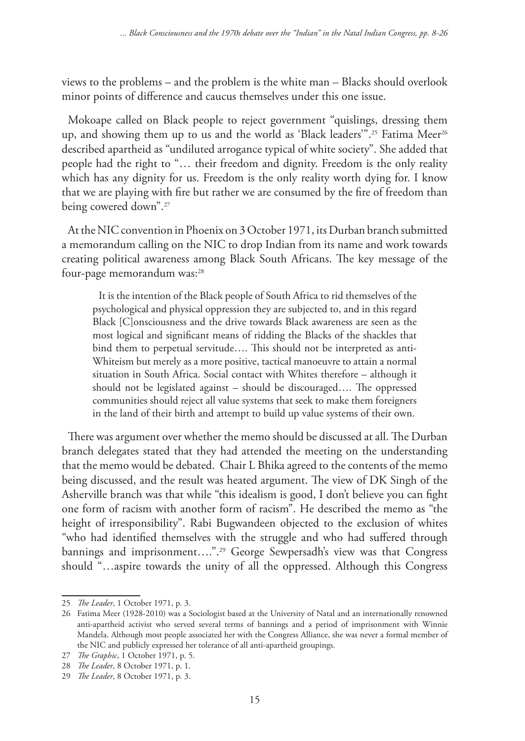views to the problems – and the problem is the white man – Blacks should overlook minor points of difference and caucus themselves under this one issue.

Mokoape called on Black people to reject government "quislings, dressing them up, and showing them up to us and the world as 'Black leaders'".<sup>25</sup> Fatima Meer<sup>26</sup> described apartheid as "undiluted arrogance typical of white society". She added that people had the right to "… their freedom and dignity. Freedom is the only reality which has any dignity for us. Freedom is the only reality worth dying for. I know that we are playing with fire but rather we are consumed by the fire of freedom than being cowered down".27

At the NIC convention in Phoenix on 3 October 1971, its Durban branch submitted a memorandum calling on the NIC to drop Indian from its name and work towards creating political awareness among Black South Africans. The key message of the four-page memorandum was:<sup>28</sup>

It is the intention of the Black people of South Africa to rid themselves of the psychological and physical oppression they are subjected to, and in this regard Black [C]onsciousness and the drive towards Black awareness are seen as the most logical and significant means of ridding the Blacks of the shackles that bind them to perpetual servitude…. This should not be interpreted as anti-Whiteism but merely as a more positive, tactical manoeuvre to attain a normal situation in South Africa. Social contact with Whites therefore – although it should not be legislated against – should be discouraged…. The oppressed communities should reject all value systems that seek to make them foreigners in the land of their birth and attempt to build up value systems of their own.

There was argument over whether the memo should be discussed at all. The Durban branch delegates stated that they had attended the meeting on the understanding that the memo would be debated. Chair L Bhika agreed to the contents of the memo being discussed, and the result was heated argument. The view of DK Singh of the Asherville branch was that while "this idealism is good, I don't believe you can fight one form of racism with another form of racism". He described the memo as "the height of irresponsibility". Rabi Bugwandeen objected to the exclusion of whites "who had identified themselves with the struggle and who had suffered through bannings and imprisonment....".<sup>29</sup> George Sewpersadh's view was that Congress should "…aspire towards the unity of all the oppressed. Although this Congress

<sup>25</sup> *The Leader*, 1 October 1971, p. 3.

<sup>26</sup> Fatima Meer (1928-2010) was a Sociologist based at the University of Natal and an internationally renowned anti-apartheid activist who served several terms of bannings and a period of imprisonment with Winnie Mandela. Although most people associated her with the Congress Alliance, she was never a formal member of the NIC and publicly expressed her tolerance of all anti-apartheid groupings.

<sup>27</sup> *The Graphic*, 1 October 1971, p. 5.

<sup>28</sup> *The Leader*, 8 October 1971, p. 1.

<sup>29</sup> *The Leader*, 8 October 1971, p. 3.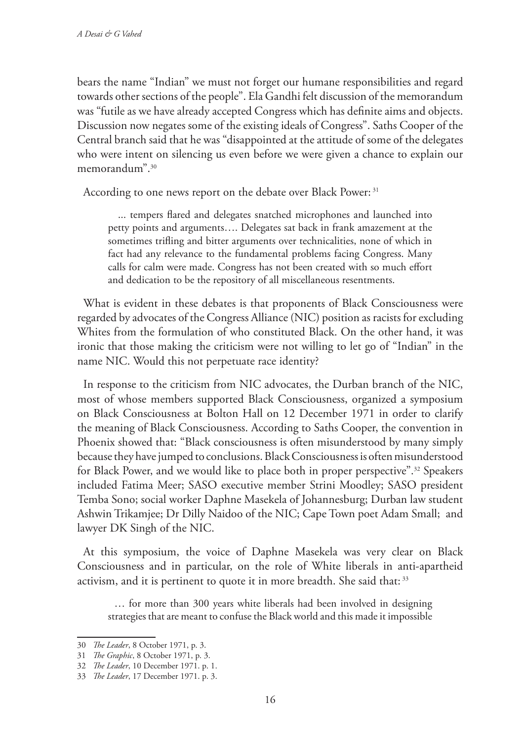bears the name "Indian" we must not forget our humane responsibilities and regard towards other sections of the people". Ela Gandhi felt discussion of the memorandum was "futile as we have already accepted Congress which has definite aims and objects. Discussion now negates some of the existing ideals of Congress". Saths Cooper of the Central branch said that he was "disappointed at the attitude of some of the delegates who were intent on silencing us even before we were given a chance to explain our memorandum".30

According to one news report on the debate over Black Power: 31

 ... tempers flared and delegates snatched microphones and launched into petty points and arguments…. Delegates sat back in frank amazement at the sometimes trifling and bitter arguments over technicalities, none of which in fact had any relevance to the fundamental problems facing Congress. Many calls for calm were made. Congress has not been created with so much effort and dedication to be the repository of all miscellaneous resentments.

What is evident in these debates is that proponents of Black Consciousness were regarded by advocates of the Congress Alliance (NIC) position as racists for excluding Whites from the formulation of who constituted Black. On the other hand, it was ironic that those making the criticism were not willing to let go of "Indian" in the name NIC. Would this not perpetuate race identity?

In response to the criticism from NIC advocates, the Durban branch of the NIC, most of whose members supported Black Consciousness, organized a symposium on Black Consciousness at Bolton Hall on 12 December 1971 in order to clarify the meaning of Black Consciousness. According to Saths Cooper, the convention in Phoenix showed that: "Black consciousness is often misunderstood by many simply because they have jumped to conclusions. Black Consciousness is often misunderstood for Black Power, and we would like to place both in proper perspective".32 Speakers included Fatima Meer; SASO executive member Strini Moodley; SASO president Temba Sono; social worker Daphne Masekela of Johannesburg; Durban law student Ashwin Trikamjee; Dr Dilly Naidoo of the NIC; Cape Town poet Adam Small; and lawyer DK Singh of the NIC.

At this symposium, the voice of Daphne Masekela was very clear on Black Consciousness and in particular, on the role of White liberals in anti-apartheid activism, and it is pertinent to quote it in more breadth. She said that: 33

… for more than 300 years white liberals had been involved in designing strategies that are meant to confuse the Black world and this made it impossible

<sup>30</sup> *The Leader*, 8 October 1971, p. 3.

<sup>31</sup> *The Graphic*, 8 October 1971, p. 3.

<sup>32</sup> *The Leader*, 10 December 1971. p. 1.

<sup>33</sup> *The Leader*, 17 December 1971. p. 3.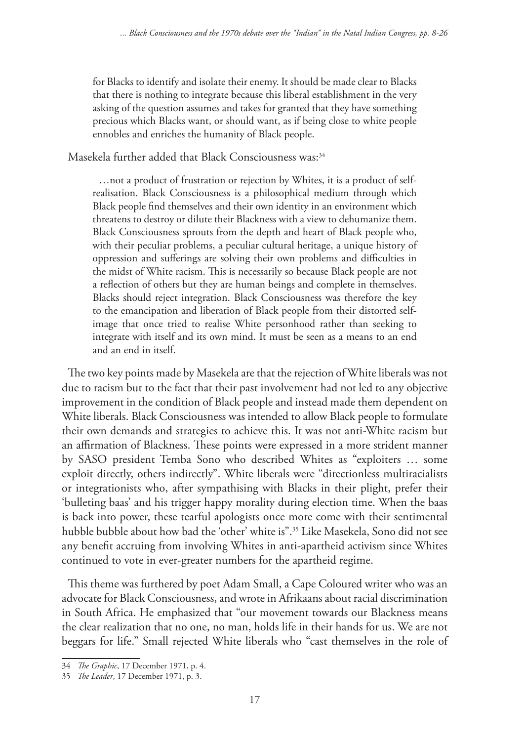for Blacks to identify and isolate their enemy. It should be made clear to Blacks that there is nothing to integrate because this liberal establishment in the very asking of the question assumes and takes for granted that they have something precious which Blacks want, or should want, as if being close to white people ennobles and enriches the humanity of Black people.

Masekela further added that Black Consciousness was:<sup>34</sup>

…not a product of frustration or rejection by Whites, it is a product of selfrealisation. Black Consciousness is a philosophical medium through which Black people find themselves and their own identity in an environment which threatens to destroy or dilute their Blackness with a view to dehumanize them. Black Consciousness sprouts from the depth and heart of Black people who, with their peculiar problems, a peculiar cultural heritage, a unique history of oppression and sufferings are solving their own problems and difficulties in the midst of White racism. This is necessarily so because Black people are not a reflection of others but they are human beings and complete in themselves. Blacks should reject integration. Black Consciousness was therefore the key to the emancipation and liberation of Black people from their distorted selfimage that once tried to realise White personhood rather than seeking to integrate with itself and its own mind. It must be seen as a means to an end and an end in itself.

The two key points made by Masekela are that the rejection of White liberals was not due to racism but to the fact that their past involvement had not led to any objective improvement in the condition of Black people and instead made them dependent on White liberals. Black Consciousness was intended to allow Black people to formulate their own demands and strategies to achieve this. It was not anti-White racism but an affirmation of Blackness. These points were expressed in a more strident manner by SASO president Temba Sono who described Whites as "exploiters … some exploit directly, others indirectly". White liberals were "directionless multiracialists or integrationists who, after sympathising with Blacks in their plight, prefer their 'bulleting baas' and his trigger happy morality during election time. When the baas is back into power, these tearful apologists once more come with their sentimental hubble bubble about how bad the 'other' white is".35 Like Masekela, Sono did not see any benefit accruing from involving Whites in anti-apartheid activism since Whites continued to vote in ever-greater numbers for the apartheid regime.

This theme was furthered by poet Adam Small, a Cape Coloured writer who was an advocate for Black Consciousness, and wrote in Afrikaans about racial discrimination in South Africa. He emphasized that "our movement towards our Blackness means the clear realization that no one, no man, holds life in their hands for us. We are not beggars for life." Small rejected White liberals who "cast themselves in the role of

<sup>34</sup> *The Graphic*, 17 December 1971, p. 4.

<sup>35</sup> *The Leader*, 17 December 1971, p. 3.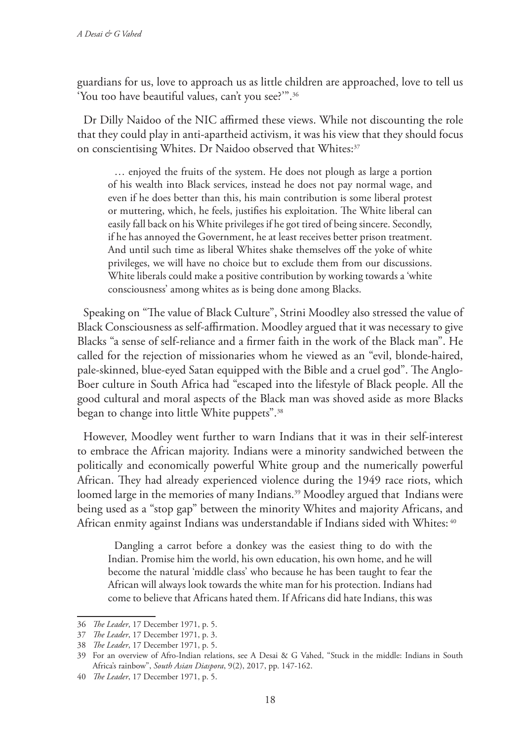guardians for us, love to approach us as little children are approached, love to tell us 'You too have beautiful values, can't you see?'".36

Dr Dilly Naidoo of the NIC affirmed these views. While not discounting the role that they could play in anti-apartheid activism, it was his view that they should focus on conscientising Whites. Dr Naidoo observed that Whites:<sup>37</sup>

… enjoyed the fruits of the system. He does not plough as large a portion of his wealth into Black services, instead he does not pay normal wage, and even if he does better than this, his main contribution is some liberal protest or muttering, which, he feels, justifies his exploitation. The White liberal can easily fall back on his White privileges if he got tired of being sincere. Secondly, if he has annoyed the Government, he at least receives better prison treatment. And until such time as liberal Whites shake themselves off the yoke of white privileges, we will have no choice but to exclude them from our discussions. White liberals could make a positive contribution by working towards a 'white consciousness' among whites as is being done among Blacks.

Speaking on "The value of Black Culture", Strini Moodley also stressed the value of Black Consciousness as self-affirmation. Moodley argued that it was necessary to give Blacks "a sense of self-reliance and a firmer faith in the work of the Black man". He called for the rejection of missionaries whom he viewed as an "evil, blonde-haired, pale-skinned, blue-eyed Satan equipped with the Bible and a cruel god". The Anglo-Boer culture in South Africa had "escaped into the lifestyle of Black people. All the good cultural and moral aspects of the Black man was shoved aside as more Blacks began to change into little White puppets".38

However, Moodley went further to warn Indians that it was in their self-interest to embrace the African majority. Indians were a minority sandwiched between the politically and economically powerful White group and the numerically powerful African. They had already experienced violence during the 1949 race riots, which loomed large in the memories of many Indians.<sup>39</sup> Moodley argued that Indians were being used as a "stop gap" between the minority Whites and majority Africans, and African enmity against Indians was understandable if Indians sided with Whites: 40

Dangling a carrot before a donkey was the easiest thing to do with the Indian. Promise him the world, his own education, his own home, and he will become the natural 'middle class' who because he has been taught to fear the African will always look towards the white man for his protection. Indians had come to believe that Africans hated them. If Africans did hate Indians, this was

<sup>36</sup> *The Leader*, 17 December 1971, p. 5.

<sup>37</sup> *The Leader*, 17 December 1971, p. 3.

<sup>38</sup> *The Leader*, 17 December 1971, p. 5.

<sup>39</sup> For an overview of Afro-Indian relations, see A Desai & G Vahed, "Stuck in the middle: Indians in South Africa's rainbow", *South Asian Diaspora*, 9(2), 2017, pp. 147-162.

<sup>40</sup> *The Leader*, 17 December 1971, p. 5.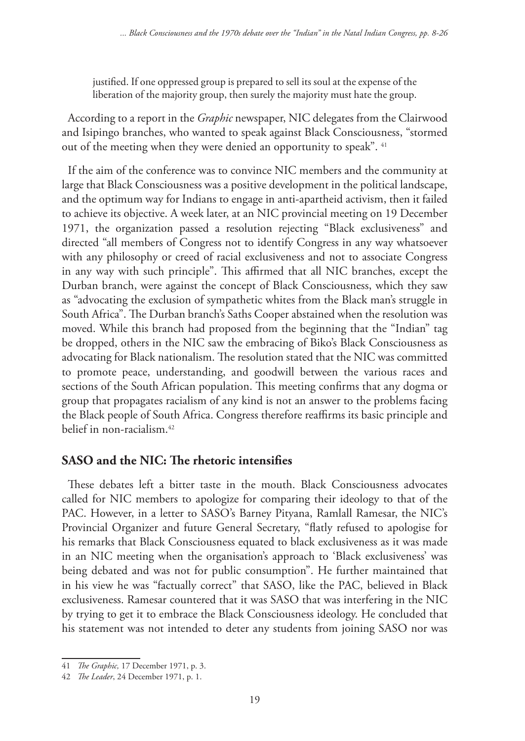justified. If one oppressed group is prepared to sell its soul at the expense of the liberation of the majority group, then surely the majority must hate the group.

According to a report in the *Graphic* newspaper, NIC delegates from the Clairwood and Isipingo branches, who wanted to speak against Black Consciousness, "stormed out of the meeting when they were denied an opportunity to speak". <sup>41</sup>

If the aim of the conference was to convince NIC members and the community at large that Black Consciousness was a positive development in the political landscape, and the optimum way for Indians to engage in anti-apartheid activism, then it failed to achieve its objective. A week later, at an NIC provincial meeting on 19 December 1971, the organization passed a resolution rejecting "Black exclusiveness" and directed "all members of Congress not to identify Congress in any way whatsoever with any philosophy or creed of racial exclusiveness and not to associate Congress in any way with such principle". This affirmed that all NIC branches, except the Durban branch, were against the concept of Black Consciousness, which they saw as "advocating the exclusion of sympathetic whites from the Black man's struggle in South Africa". The Durban branch's Saths Cooper abstained when the resolution was moved. While this branch had proposed from the beginning that the "Indian" tag be dropped, others in the NIC saw the embracing of Biko's Black Consciousness as advocating for Black nationalism. The resolution stated that the NIC was committed to promote peace, understanding, and goodwill between the various races and sections of the South African population. This meeting confirms that any dogma or group that propagates racialism of any kind is not an answer to the problems facing the Black people of South Africa. Congress therefore reaffirms its basic principle and belief in non-racialism.42

# **SASO and the NIC: The rhetoric intensifies**

These debates left a bitter taste in the mouth. Black Consciousness advocates called for NIC members to apologize for comparing their ideology to that of the PAC. However, in a letter to SASO's Barney Pityana, Ramlall Ramesar, the NIC's Provincial Organizer and future General Secretary, "flatly refused to apologise for his remarks that Black Consciousness equated to black exclusiveness as it was made in an NIC meeting when the organisation's approach to 'Black exclusiveness' was being debated and was not for public consumption". He further maintained that in his view he was "factually correct" that SASO, like the PAC, believed in Black exclusiveness. Ramesar countered that it was SASO that was interfering in the NIC by trying to get it to embrace the Black Consciousness ideology. He concluded that his statement was not intended to deter any students from joining SASO nor was

<sup>41</sup> *The Graphic,* 17 December 1971, p. 3.

<sup>42</sup> *The Leader*, 24 December 1971, p. 1.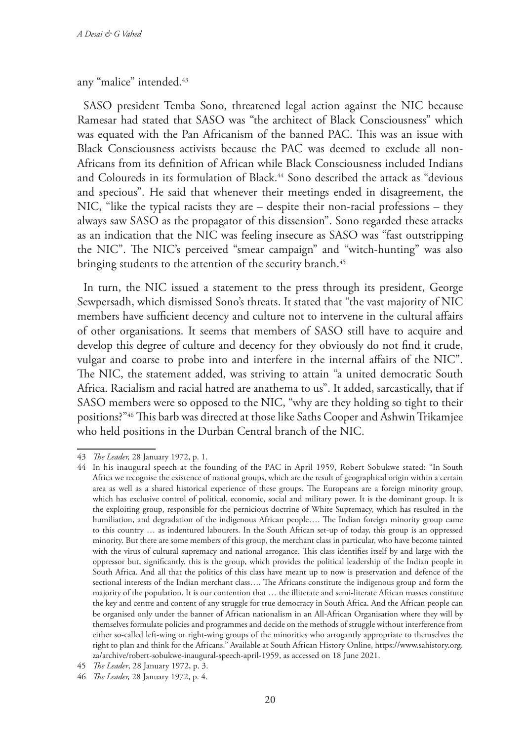#### any "malice" intended.<sup>43</sup>

SASO president Temba Sono, threatened legal action against the NIC because Ramesar had stated that SASO was "the architect of Black Consciousness" which was equated with the Pan Africanism of the banned PAC. This was an issue with Black Consciousness activists because the PAC was deemed to exclude all non-Africans from its definition of African while Black Consciousness included Indians and Coloureds in its formulation of Black.<sup>44</sup> Sono described the attack as "devious and specious". He said that whenever their meetings ended in disagreement, the NIC, "like the typical racists they are – despite their non-racial professions – they always saw SASO as the propagator of this dissension". Sono regarded these attacks as an indication that the NIC was feeling insecure as SASO was "fast outstripping the NIC". The NIC's perceived "smear campaign" and "witch-hunting" was also bringing students to the attention of the security branch.<sup>45</sup>

In turn, the NIC issued a statement to the press through its president, George Sewpersadh, which dismissed Sono's threats. It stated that "the vast majority of NIC members have sufficient decency and culture not to intervene in the cultural affairs of other organisations. It seems that members of SASO still have to acquire and develop this degree of culture and decency for they obviously do not find it crude, vulgar and coarse to probe into and interfere in the internal affairs of the NIC". The NIC, the statement added, was striving to attain "a united democratic South Africa. Racialism and racial hatred are anathema to us". It added, sarcastically, that if SASO members were so opposed to the NIC, "why are they holding so tight to their positions?"46 This barb was directed at those like Saths Cooper and Ashwin Trikamjee who held positions in the Durban Central branch of the NIC.

<sup>43</sup> *The Leader,* 28 January 1972, p. 1.

<sup>44</sup> In his inaugural speech at the founding of the PAC in April 1959, Robert Sobukwe stated: "In South Africa we recognise the existence of national groups, which are the result of geographical origin within a certain area as well as a shared historical experience of these groups. The Europeans are a foreign minority group, which has exclusive control of political, economic, social and military power. It is the dominant group. It is the exploiting group, responsible for the pernicious doctrine of White Supremacy, which has resulted in the humiliation, and degradation of the indigenous African people…. The Indian foreign minority group came to this country … as indentured labourers. In the South African set-up of today, this group is an oppressed minority. But there are some members of this group, the merchant class in particular, who have become tainted with the virus of cultural supremacy and national arrogance. This class identifies itself by and large with the oppressor but, significantly, this is the group, which provides the political leadership of the Indian people in South Africa. And all that the politics of this class have meant up to now is preservation and defence of the sectional interests of the Indian merchant class…. The Africans constitute the indigenous group and form the majority of the population. It is our contention that … the illiterate and semi-literate African masses constitute the key and centre and content of any struggle for true democracy in South Africa. And the African people can be organised only under the banner of African nationalism in an All-African Organisation where they will by themselves formulate policies and programmes and decide on the methods of struggle without interference from either so-called left-wing or right-wing groups of the minorities who arrogantly appropriate to themselves the right to plan and think for the Africans." Available at South African History Online, https://www.sahistory.org. za/archive/robert-sobukwe-inaugural-speech-april-1959, as accessed on 18 June 2021.

<sup>45</sup> *The Leader*, 28 January 1972, p. 3.

<sup>46</sup> *The Leader,* 28 January 1972, p. 4.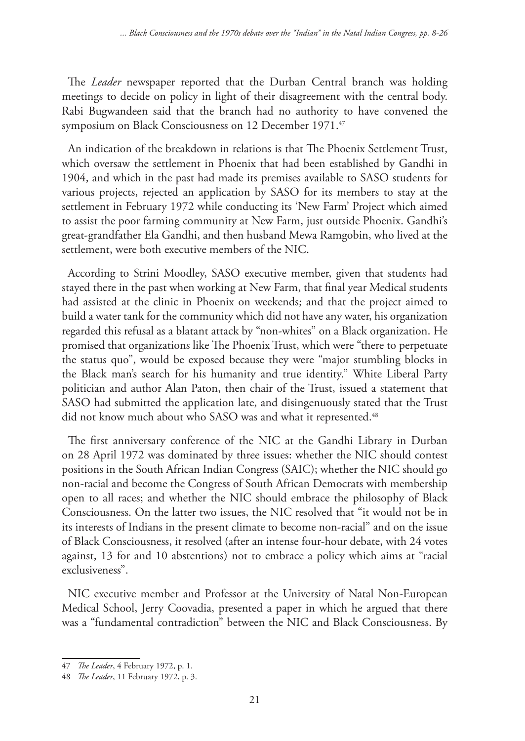The *Leader* newspaper reported that the Durban Central branch was holding meetings to decide on policy in light of their disagreement with the central body. Rabi Bugwandeen said that the branch had no authority to have convened the symposium on Black Consciousness on 12 December 1971.<sup>47</sup>

An indication of the breakdown in relations is that The Phoenix Settlement Trust, which oversaw the settlement in Phoenix that had been established by Gandhi in 1904, and which in the past had made its premises available to SASO students for various projects, rejected an application by SASO for its members to stay at the settlement in February 1972 while conducting its 'New Farm' Project which aimed to assist the poor farming community at New Farm, just outside Phoenix. Gandhi's great-grandfather Ela Gandhi, and then husband Mewa Ramgobin, who lived at the settlement, were both executive members of the NIC.

According to Strini Moodley, SASO executive member, given that students had stayed there in the past when working at New Farm, that final year Medical students had assisted at the clinic in Phoenix on weekends; and that the project aimed to build a water tank for the community which did not have any water, his organization regarded this refusal as a blatant attack by "non-whites" on a Black organization. He promised that organizations like The Phoenix Trust, which were "there to perpetuate the status quo", would be exposed because they were "major stumbling blocks in the Black man's search for his humanity and true identity." White Liberal Party politician and author Alan Paton, then chair of the Trust, issued a statement that SASO had submitted the application late, and disingenuously stated that the Trust did not know much about who SASO was and what it represented.<sup>48</sup>

The first anniversary conference of the NIC at the Gandhi Library in Durban on 28 April 1972 was dominated by three issues: whether the NIC should contest positions in the South African Indian Congress (SAIC); whether the NIC should go non-racial and become the Congress of South African Democrats with membership open to all races; and whether the NIC should embrace the philosophy of Black Consciousness. On the latter two issues, the NIC resolved that "it would not be in its interests of Indians in the present climate to become non-racial" and on the issue of Black Consciousness, it resolved (after an intense four-hour debate, with 24 votes against, 13 for and 10 abstentions) not to embrace a policy which aims at "racial exclusiveness".

NIC executive member and Professor at the University of Natal Non-European Medical School, Jerry Coovadia, presented a paper in which he argued that there was a "fundamental contradiction" between the NIC and Black Consciousness. By

<sup>47</sup> *The Leader*, 4 February 1972, p. 1.

<sup>48</sup> *The Leader*, 11 February 1972, p. 3.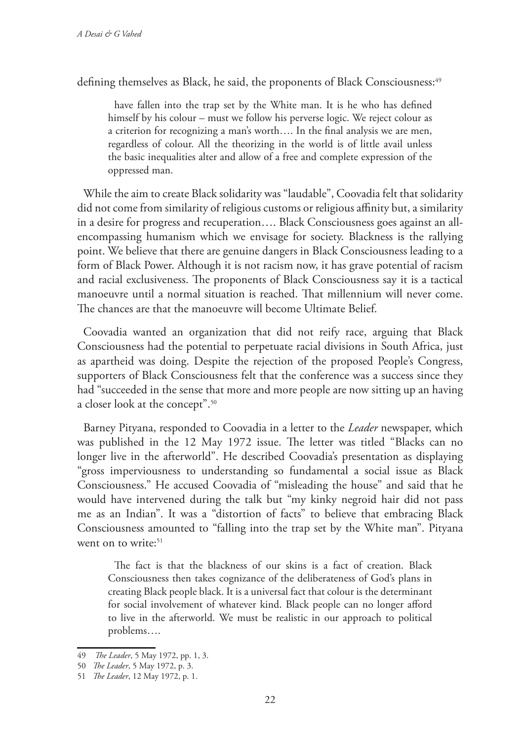defining themselves as Black, he said, the proponents of Black Consciousness:<sup>49</sup>

have fallen into the trap set by the White man. It is he who has defined himself by his colour – must we follow his perverse logic. We reject colour as a criterion for recognizing a man's worth…. In the final analysis we are men, regardless of colour. All the theorizing in the world is of little avail unless the basic inequalities alter and allow of a free and complete expression of the oppressed man.

While the aim to create Black solidarity was "laudable", Coovadia felt that solidarity did not come from similarity of religious customs or religious affinity but, a similarity in a desire for progress and recuperation…. Black Consciousness goes against an allencompassing humanism which we envisage for society. Blackness is the rallying point. We believe that there are genuine dangers in Black Consciousness leading to a form of Black Power. Although it is not racism now, it has grave potential of racism and racial exclusiveness. The proponents of Black Consciousness say it is a tactical manoeuvre until a normal situation is reached. That millennium will never come. The chances are that the manoeuvre will become Ultimate Belief.

Coovadia wanted an organization that did not reify race, arguing that Black Consciousness had the potential to perpetuate racial divisions in South Africa, just as apartheid was doing. Despite the rejection of the proposed People's Congress, supporters of Black Consciousness felt that the conference was a success since they had "succeeded in the sense that more and more people are now sitting up an having a closer look at the concept".50

Barney Pityana, responded to Coovadia in a letter to the *Leader* newspaper, which was published in the 12 May 1972 issue. The letter was titled "Blacks can no longer live in the afterworld". He described Coovadia's presentation as displaying "gross imperviousness to understanding so fundamental a social issue as Black Consciousness." He accused Coovadia of "misleading the house" and said that he would have intervened during the talk but "my kinky negroid hair did not pass me as an Indian". It was a "distortion of facts" to believe that embracing Black Consciousness amounted to "falling into the trap set by the White man". Pityana went on to write:<sup>51</sup>

The fact is that the blackness of our skins is a fact of creation. Black Consciousness then takes cognizance of the deliberateness of God's plans in creating Black people black. It is a universal fact that colour is the determinant for social involvement of whatever kind. Black people can no longer afford to live in the afterworld. We must be realistic in our approach to political problems….

<sup>49</sup> *The Leader*, 5 May 1972, pp. 1, 3.

<sup>50</sup> *The Leader*, 5 May 1972, p. 3.

<sup>51</sup> *The Leader*, 12 May 1972, p. 1.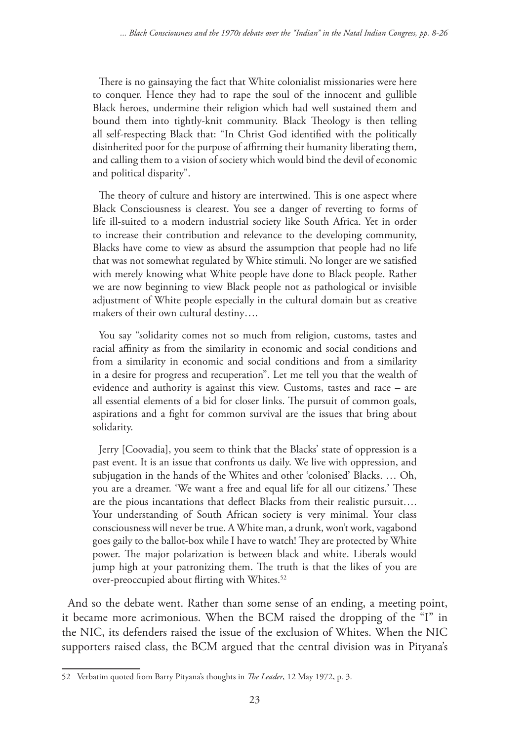There is no gainsaying the fact that White colonialist missionaries were here to conquer. Hence they had to rape the soul of the innocent and gullible Black heroes, undermine their religion which had well sustained them and bound them into tightly-knit community. Black Theology is then telling all self-respecting Black that: "In Christ God identified with the politically disinherited poor for the purpose of affirming their humanity liberating them, and calling them to a vision of society which would bind the devil of economic and political disparity".

The theory of culture and history are intertwined. This is one aspect where Black Consciousness is clearest. You see a danger of reverting to forms of life ill-suited to a modern industrial society like South Africa. Yet in order to increase their contribution and relevance to the developing community, Blacks have come to view as absurd the assumption that people had no life that was not somewhat regulated by White stimuli. No longer are we satisfied with merely knowing what White people have done to Black people. Rather we are now beginning to view Black people not as pathological or invisible adjustment of White people especially in the cultural domain but as creative makers of their own cultural destiny….

You say "solidarity comes not so much from religion, customs, tastes and racial affinity as from the similarity in economic and social conditions and from a similarity in economic and social conditions and from a similarity in a desire for progress and recuperation". Let me tell you that the wealth of evidence and authority is against this view. Customs, tastes and race – are all essential elements of a bid for closer links. The pursuit of common goals, aspirations and a fight for common survival are the issues that bring about solidarity.

Jerry [Coovadia], you seem to think that the Blacks' state of oppression is a past event. It is an issue that confronts us daily. We live with oppression, and subjugation in the hands of the Whites and other 'colonised' Blacks. … Oh, you are a dreamer. 'We want a free and equal life for all our citizens.' These are the pious incantations that deflect Blacks from their realistic pursuit…. Your understanding of South African society is very minimal. Your class consciousness will never be true. A White man, a drunk, won't work, vagabond goes gaily to the ballot-box while I have to watch! They are protected by White power. The major polarization is between black and white. Liberals would jump high at your patronizing them. The truth is that the likes of you are over-preoccupied about flirting with Whites.<sup>52</sup>

And so the debate went. Rather than some sense of an ending, a meeting point, it became more acrimonious. When the BCM raised the dropping of the "I" in the NIC, its defenders raised the issue of the exclusion of Whites. When the NIC supporters raised class, the BCM argued that the central division was in Pityana's

<sup>52</sup> Verbatim quoted from Barry Pityana's thoughts in *The Leader*, 12 May 1972, p. 3.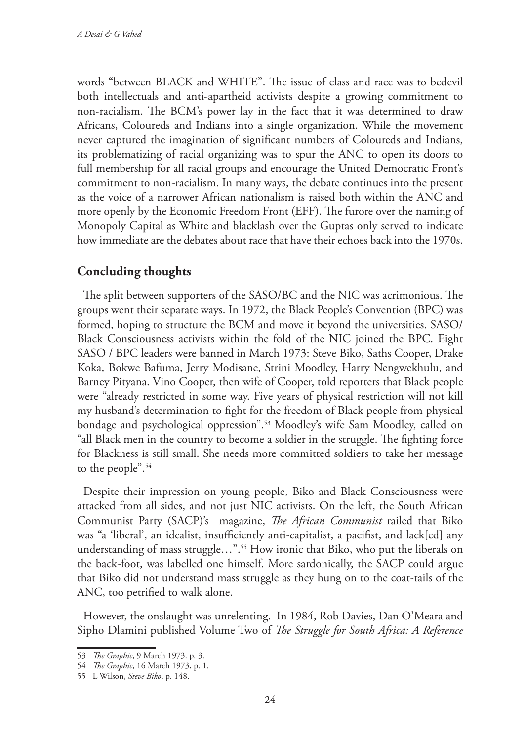words "between BLACK and WHITE". The issue of class and race was to bedevil both intellectuals and anti-apartheid activists despite a growing commitment to non-racialism. The BCM's power lay in the fact that it was determined to draw Africans, Coloureds and Indians into a single organization. While the movement never captured the imagination of significant numbers of Coloureds and Indians, its problematizing of racial organizing was to spur the ANC to open its doors to full membership for all racial groups and encourage the United Democratic Front's commitment to non-racialism. In many ways, the debate continues into the present as the voice of a narrower African nationalism is raised both within the ANC and more openly by the Economic Freedom Front (EFF). The furore over the naming of Monopoly Capital as White and blacklash over the Guptas only served to indicate how immediate are the debates about race that have their echoes back into the 1970s.

# **Concluding thoughts**

The split between supporters of the SASO/BC and the NIC was acrimonious. The groups went their separate ways. In 1972, the Black People's Convention (BPC) was formed, hoping to structure the BCM and move it beyond the universities. SASO/ Black Consciousness activists within the fold of the NIC joined the BPC. Eight SASO / BPC leaders were banned in March 1973: Steve Biko, Saths Cooper, Drake Koka, Bokwe Bafuma, Jerry Modisane, Strini Moodley, Harry Nengwekhulu, and Barney Pityana. Vino Cooper, then wife of Cooper, told reporters that Black people were "already restricted in some way. Five years of physical restriction will not kill my husband's determination to fight for the freedom of Black people from physical bondage and psychological oppression".53 Moodley's wife Sam Moodley, called on "all Black men in the country to become a soldier in the struggle. The fighting force for Blackness is still small. She needs more committed soldiers to take her message to the people".54

Despite their impression on young people, Biko and Black Consciousness were attacked from all sides, and not just NIC activists. On the left, the South African Communist Party (SACP)'s magazine, *The African Communist* railed that Biko was "a 'liberal', an idealist, insufficiently anti-capitalist, a pacifist, and lack[ed] any understanding of mass struggle...".<sup>55</sup> How ironic that Biko, who put the liberals on the back-foot, was labelled one himself. More sardonically, the SACP could argue that Biko did not understand mass struggle as they hung on to the coat-tails of the ANC, too petrified to walk alone.

However, the onslaught was unrelenting. In 1984, Rob Davies, Dan O'Meara and Sipho Dlamini published Volume Two of *The Struggle for South Africa: A Reference* 

<sup>53</sup> *The Graphic*, 9 March 1973. p. 3.

<sup>54</sup> *The Graphic*, 16 March 1973, p. 1.

<sup>55</sup> L Wilson, *Steve Biko*, p. 148.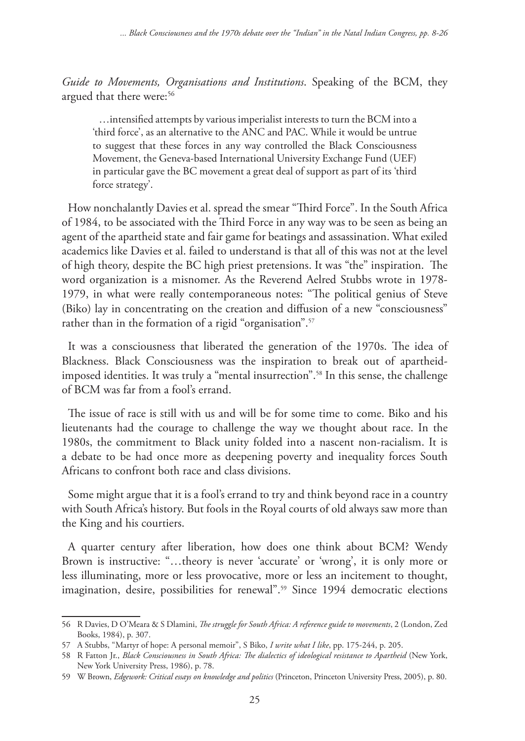*Guide to Movements, Organisations and Institutions*. Speaking of the BCM, they argued that there were:<sup>56</sup>

…intensified attempts by various imperialist interests to turn the BCM into a 'third force', as an alternative to the ANC and PAC. While it would be untrue to suggest that these forces in any way controlled the Black Consciousness Movement, the Geneva-based International University Exchange Fund (UEF) in particular gave the BC movement a great deal of support as part of its 'third force strategy'.

How nonchalantly Davies et al. spread the smear "Third Force". In the South Africa of 1984, to be associated with the Third Force in any way was to be seen as being an agent of the apartheid state and fair game for beatings and assassination. What exiled academics like Davies et al. failed to understand is that all of this was not at the level of high theory, despite the BC high priest pretensions. It was "the" inspiration. The word organization is a misnomer. As the Reverend Aelred Stubbs wrote in 1978- 1979, in what were really contemporaneous notes: "The political genius of Steve (Biko) lay in concentrating on the creation and diffusion of a new "consciousness" rather than in the formation of a rigid "organisation".<sup>57</sup>

It was a consciousness that liberated the generation of the 1970s. The idea of Blackness. Black Consciousness was the inspiration to break out of apartheidimposed identities. It was truly a "mental insurrection".58 In this sense, the challenge of BCM was far from a fool's errand.

The issue of race is still with us and will be for some time to come. Biko and his lieutenants had the courage to challenge the way we thought about race. In the 1980s, the commitment to Black unity folded into a nascent non-racialism. It is a debate to be had once more as deepening poverty and inequality forces South Africans to confront both race and class divisions.

Some might argue that it is a fool's errand to try and think beyond race in a country with South Africa's history. But fools in the Royal courts of old always saw more than the King and his courtiers.

A quarter century after liberation, how does one think about BCM? Wendy Brown is instructive: "…theory is never 'accurate' or 'wrong', it is only more or less illuminating, more or less provocative, more or less an incitement to thought, imagination, desire, possibilities for renewal".<sup>59</sup> Since 1994 democratic elections

<sup>56</sup> R Davies, D O'Meara & S Dlamini, *The struggle for South Africa: A reference guide to movements*, 2 (London, Zed Books, 1984), p. 307.

<sup>57</sup> A Stubbs, "Martyr of hope: A personal memoir", S Biko, *I write what I like*, pp. 175-244, p. 205.

<sup>58</sup> R Fatton Jr., *Black Consciousness in South Africa: The dialectics of ideological resistance to Apartheid* (New York, New York University Press, 1986), p. 78.

<sup>59</sup> W Brown, *Edgework: Critical essays on knowledge and politics* (Princeton, Princeton University Press, 2005), p. 80.